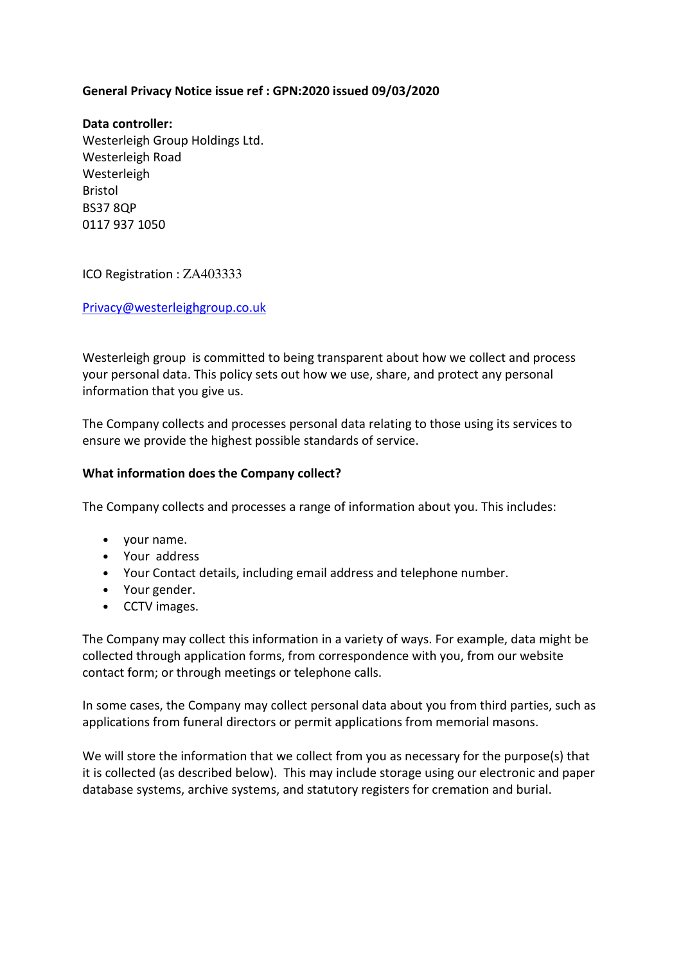### **General Privacy Notice issue ref : GPN:2020 issued 09/03/2020**

**Data controller:**  Westerleigh Group Holdings Ltd. Westerleigh Road Westerleigh Bristol BS37 8QP 0117 937 1050

ICO Registration : ZA403333

Privacy@westerleighgroup.co.uk

Westerleigh group is committed to being transparent about how we collect and process your personal data. This policy sets out how we use, share, and protect any personal information that you give us.

The Company collects and processes personal data relating to those using its services to ensure we provide the highest possible standards of service.

#### **What information does the Company collect?**

The Company collects and processes a range of information about you. This includes:

- your name.
- Your address
- Your Contact details, including email address and telephone number.
- Your gender.
- CCTV images.

The Company may collect this information in a variety of ways. For example, data might be collected through application forms, from correspondence with you, from our website contact form; or through meetings or telephone calls.

In some cases, the Company may collect personal data about you from third parties, such as applications from funeral directors or permit applications from memorial masons.

We will store the information that we collect from you as necessary for the purpose(s) that it is collected (as described below). This may include storage using our electronic and paper database systems, archive systems, and statutory registers for cremation and burial.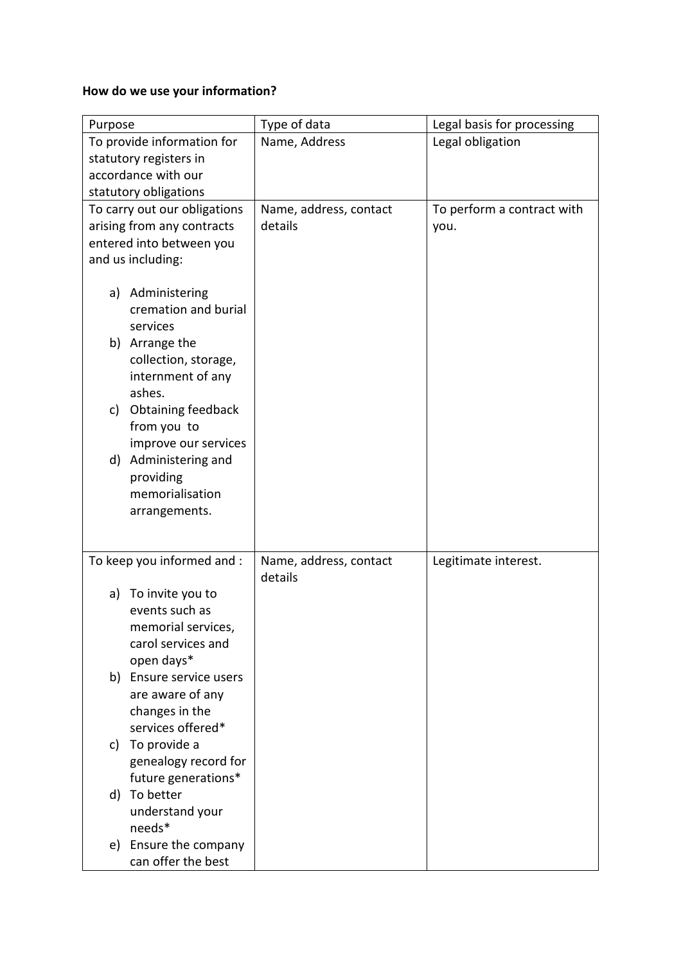# **How do we use your information?**

| Purpose                         | Type of data           | Legal basis for processing |
|---------------------------------|------------------------|----------------------------|
| To provide information for      | Name, Address          | Legal obligation           |
| statutory registers in          |                        |                            |
| accordance with our             |                        |                            |
| statutory obligations           |                        |                            |
| To carry out our obligations    | Name, address, contact | To perform a contract with |
| arising from any contracts      | details                | you.                       |
| entered into between you        |                        |                            |
| and us including:               |                        |                            |
|                                 |                        |                            |
| a) Administering                |                        |                            |
| cremation and burial            |                        |                            |
| services                        |                        |                            |
| b) Arrange the                  |                        |                            |
| collection, storage,            |                        |                            |
| internment of any               |                        |                            |
| ashes.                          |                        |                            |
| <b>Obtaining feedback</b><br>c) |                        |                            |
| from you to                     |                        |                            |
| improve our services            |                        |                            |
| d) Administering and            |                        |                            |
| providing                       |                        |                            |
| memorialisation                 |                        |                            |
| arrangements.                   |                        |                            |
|                                 |                        |                            |
| To keep you informed and :      | Name, address, contact | Legitimate interest.       |
|                                 | details                |                            |
| a) To invite you to             |                        |                            |
| events such as                  |                        |                            |
| memorial services,              |                        |                            |
| carol services and              |                        |                            |
| open days*                      |                        |                            |
| b) Ensure service users         |                        |                            |
| are aware of any                |                        |                            |
| changes in the                  |                        |                            |
| services offered*               |                        |                            |
| c) To provide a                 |                        |                            |
| genealogy record for            |                        |                            |
| future generations*             |                        |                            |
| d) To better                    |                        |                            |
| understand your                 |                        |                            |
| needs*                          |                        |                            |
| e) Ensure the company           |                        |                            |
| can offer the best              |                        |                            |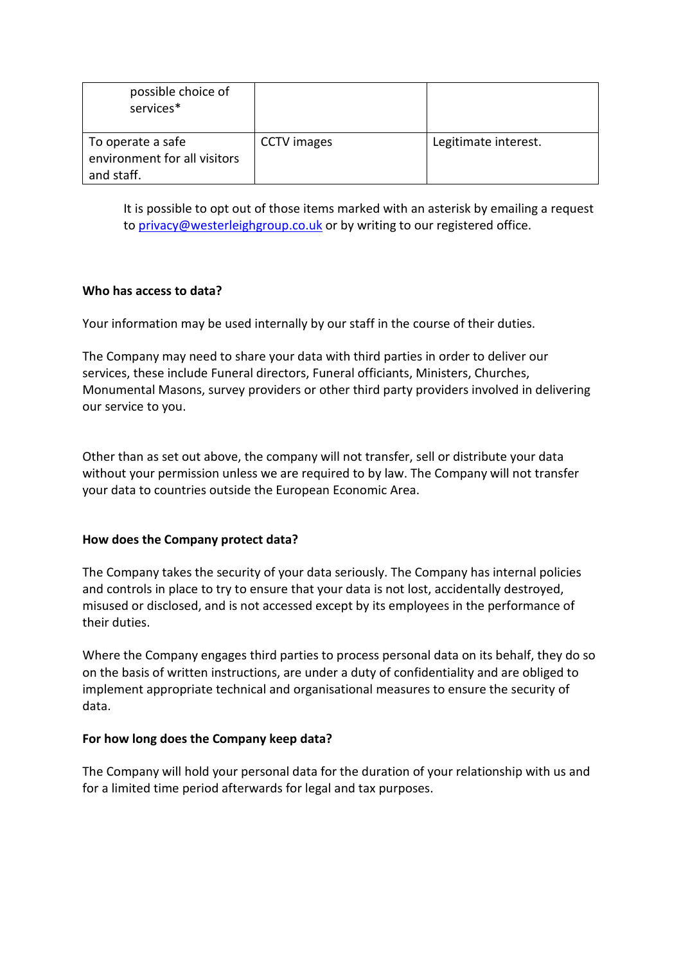| possible choice of<br>services*                                 |                    |                      |
|-----------------------------------------------------------------|--------------------|----------------------|
| To operate a safe<br>environment for all visitors<br>and staff. | <b>CCTV</b> images | Legitimate interest. |

It is possible to opt out of those items marked with an asterisk by emailing a request to privacy@westerleighgroup.co.uk or by writing to our registered office.

### **Who has access to data?**

Your information may be used internally by our staff in the course of their duties.

The Company may need to share your data with third parties in order to deliver our services, these include Funeral directors, Funeral officiants, Ministers, Churches, Monumental Masons, survey providers or other third party providers involved in delivering our service to you.

Other than as set out above, the company will not transfer, sell or distribute your data without your permission unless we are required to by law. The Company will not transfer your data to countries outside the European Economic Area.

# **How does the Company protect data?**

The Company takes the security of your data seriously. The Company has internal policies and controls in place to try to ensure that your data is not lost, accidentally destroyed, misused or disclosed, and is not accessed except by its employees in the performance of their duties.

Where the Company engages third parties to process personal data on its behalf, they do so on the basis of written instructions, are under a duty of confidentiality and are obliged to implement appropriate technical and organisational measures to ensure the security of data.

#### **For how long does the Company keep data?**

The Company will hold your personal data for the duration of your relationship with us and for a limited time period afterwards for legal and tax purposes.